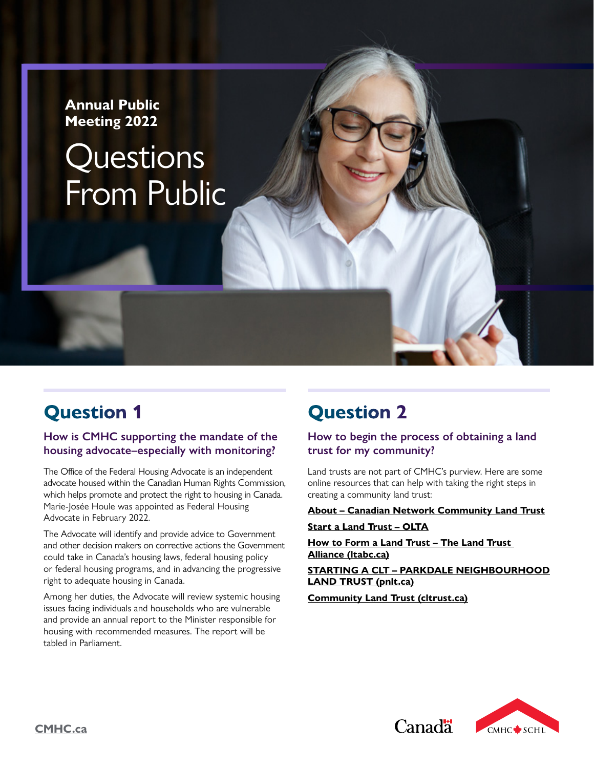#### **Annual Public Meeting 2022**

# Questions From Public

# **Question 1**

#### **How is CMHC supporting the mandate of the housing advocate–especially with monitoring?**

The Office of the Federal Housing Advocate is an independent advocate housed within the Canadian Human Rights Commission, which helps promote and protect the right to housing in Canada. Marie-Josée Houle was appointed as Federal Housing Advocate in February 2022.

The Advocate will identify and provide advice to Government and other decision makers on corrective actions the Government could take in Canada's housing laws, federal housing policy or federal housing programs, and in advancing the progressive right to adequate housing in Canada.

Among her duties, the Advocate will review systemic housing issues facing individuals and households who are vulnerable and provide an annual report to the Minister responsible for housing with recommended measures. The report will be tabled in Parliament.

# **Question 2**

#### **How to begin the process of obtaining a land trust for my community?**

Land trusts are not part of CMHC's purview. Here are some online resources that can help with taking the right steps in creating a community land trust:

#### **[About – Canadian Network Community Land Trust](http://www.communityland.ca/what-is-a-clt/)**

#### **[Start a Land Trust – OLTA](https://www.olta.ca/get-involved-support-olta/start-a-land-trust/)**

**[How to Form a Land Trust – The Land Trust](https://www.ltabc.ca/land-trusts/form-land-trust/)  Alliance [\(ltabc.ca\)](https://www.ltabc.ca)** 

#### **[STARTING A CLT – PARKDALE NEIGHBOURHOOD](http://www.pnlt.ca/clt-tool-kit/starting-a-clt/)  LAND TRUST (pnlt.ca)**

Canadä<sup>\*</sup>

**Community Land Trust [\(cltrust.ca\)](https://www.cltrust.ca)** 

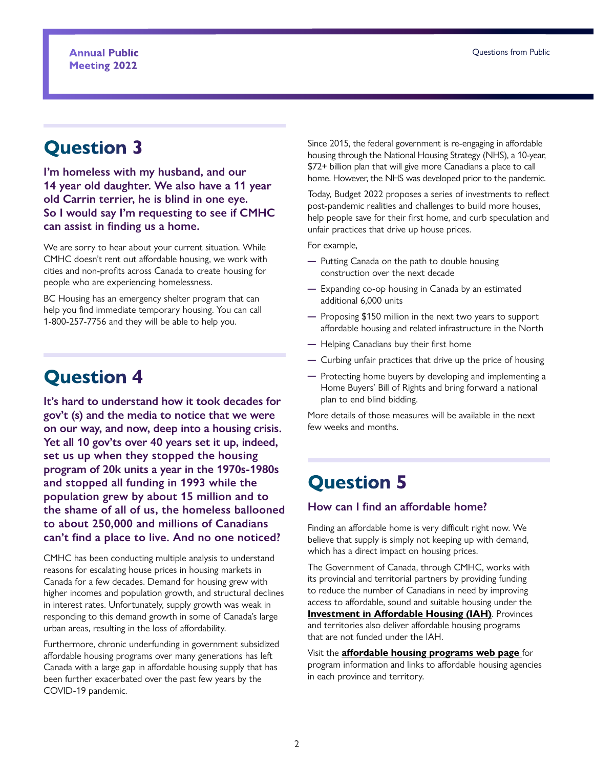# **Question 3**

**I'm homeless with my husband, and our 14 year old daughter. We also have a 11 year old Carrin terrier, he is blind in one eye. So I would say I'm requesting to see if CMHC can assist in finding us a home.** 

We are sorry to hear about your current situation. While CMHC doesn't rent out affordable housing, we work with cities and non-profits across Canada to create housing for people who are experiencing homelessness.

BC Housing has an emergency shelter program that can help you find immediate temporary housing. You can call 1-800-257-7756 and they will be able to help you.

# **Question 4**

**It's hard to understand how it took decades for gov't (s) and the media to notice that we were on our way, and now, deep into a housing crisis. Yet all 10 gov'ts over 40 years set it up, indeed, set us up when they stopped the housing program of 20k units a year in the 1970s-1980s and stopped all funding in 1993 while the population grew by about 15 million and to the shame of all of us, the homeless ballooned to about 250,000 and millions of Canadians can't find a place to live. And no one noticed?** 

CMHC has been conducting multiple analysis to understand reasons for escalating house prices in housing markets in Canada for a few decades. Demand for housing grew with higher incomes and population growth, and structural declines in interest rates. Unfortunately, supply growth was weak in responding to this demand growth in some of Canada's large urban areas, resulting in the loss of affordability.

Furthermore, chronic underfunding in government subsidized affordable housing programs over many generations has left Canada with a large gap in affordable housing supply that has been further exacerbated over the past few years by the COVID-19 pandemic.

Since 2015, the federal government is re-engaging in affordable housing through the National Housing Strategy (NHS), a 10-year, \$72+ billion plan that will give more Canadians a place to call home. However, the NHS was developed prior to the pandemic.

Today, Budget 2022 proposes a series of investments to reflect post-pandemic realities and challenges to build more houses, help people save for their first home, and curb speculation and unfair practices that drive up house prices.

For example,

- ─ Putting Canada on the path to double housing construction over the next decade
- ─ Expanding co-op housing in Canada by an estimated additional 6,000 units
- ─ Proposing \$150 million in the next two years to support affordable housing and related infrastructure in the North
- ─ Helping Canadians buy their first home
- ─ Curbing unfair practices that drive up the price of housing
- ─ Protecting home buyers by developing and implementing a Home Buyers' Bill of Rights and bring forward a national plan to end blind bidding.

More details of those measures will be available in the next few weeks and months.

# **Question 5**

#### **How can I find an affordable home?**

Finding an affordable home is very difficult right now. We believe that supply is simply not keeping up with demand, which has a direct impact on housing prices.

The Government of Canada, through CMHC, works with its provincial and territorial partners by providing funding to reduce the number of Canadians in need by improving access to affordable, sound and suitable housing under the **[Investment in Affordable Housing \(IAH\)](https://www.cmhc-schl.gc.ca/en/professionals/industry-innovation-and-leadership/industry-expertise/affordable-housing/provincial-territorial-agreements/investment-in-affordable-housing)**. Provinces and territories also deliver affordable housing programs that are not funded under the IAH.

Visit the **[affordable housing programs web page](https://www.cmhc-schl.gc.ca/en/professionals/industry-innovation-and-leadership/industry-expertise/affordable-housing/develop-affordable-housing/provincial-territorial-programs-programs)** for program information and links to affordable housing agencies in each province and territory.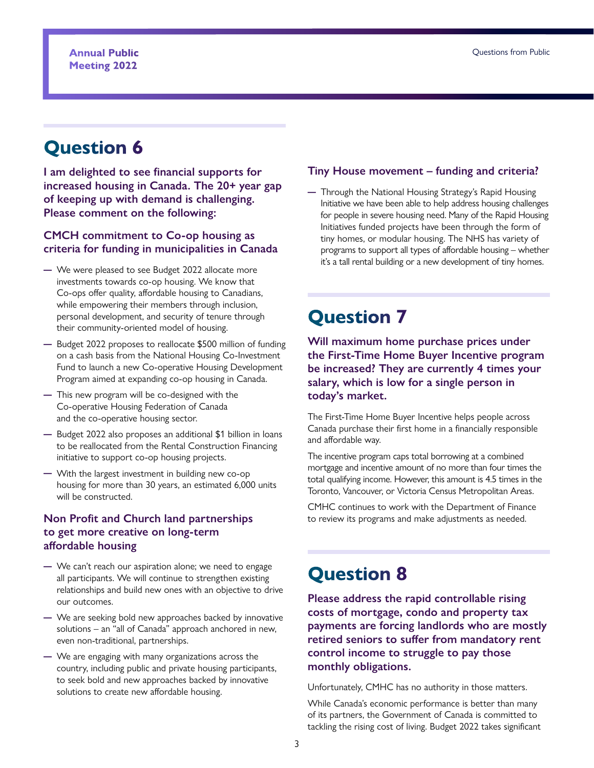# **Question 6**

**I am delighted to see financial supports for increased housing in Canada. The 20+ year gap of keeping up with demand is challenging. Please comment on the following:** 

#### **CMCH commitment to Co-op housing as criteria for funding in municipalities in Canada**

- ─ We were pleased to see Budget 2022 allocate more investments towards co-op housing. We know that Co-ops offer quality, affordable housing to Canadians, while empowering their members through inclusion, personal development, and security of tenure through their community-oriented model of housing.
- ─ Budget 2022 proposes to reallocate \$500 million of funding on a cash basis from the National Housing Co-Investment Fund to launch a new Co-operative Housing Development Program aimed at expanding co-op housing in Canada.
- ─ This new program will be co-designed with the Co-operative Housing Federation of Canada and the co-operative housing sector.
- ─ Budget 2022 also proposes an additional \$1 billion in loans to be reallocated from the Rental Construction Financing initiative to support co-op housing projects.
- ─ With the largest investment in building new co-op housing for more than 30 years, an estimated 6,000 units will be constructed.

#### **Non Profit and Church land partnerships to get more creative on long-term affordable housing**

- ─ We can't reach our aspiration alone; we need to engage all participants. We will continue to strengthen existing relationships and build new ones with an objective to drive our outcomes.
- ─ We are seeking bold new approaches backed by innovative solutions – an "all of Canada" approach anchored in new, even non-traditional, partnerships.
- ─ We are engaging with many organizations across the country, including public and private housing participants, to seek bold and new approaches backed by innovative solutions to create new affordable housing.

#### **Tiny House movement – funding and criteria?**

─ Through the National Housing Strategy's Rapid Housing Initiative we have been able to help address housing challenges for people in severe housing need. Many of the Rapid Housing Initiatives funded projects have been through the form of tiny homes, or modular housing. The NHS has variety of programs to support all types of affordable housing – whether it's a tall rental building or a new development of tiny homes.

# **Question 7**

**Will maximum home purchase prices under the First-Time Home Buyer Incentive program be increased? They are currently 4 times your salary, which is low for a single person in today's market.** 

The First-Time Home Buyer Incentive helps people across Canada purchase their first home in a financially responsible and affordable way.

The incentive program caps total borrowing at a combined mortgage and incentive amount of no more than four times the total qualifying income. However, this amount is 4.5 times in the Toronto, Vancouver, or Victoria Census Metropolitan Areas.

CMHC continues to work with the Department of Finance to review its programs and make adjustments as needed.

# **Question 8**

**Please address the rapid controllable rising costs of mortgage, condo and property tax payments are forcing landlords who are mostly retired seniors to suffer from mandatory rent control income to struggle to pay those monthly obligations.** 

Unfortunately, CMHC has no authority in those matters.

While Canada's economic performance is better than many of its partners, the Government of Canada is committed to tackling the rising cost of living. Budget 2022 takes significant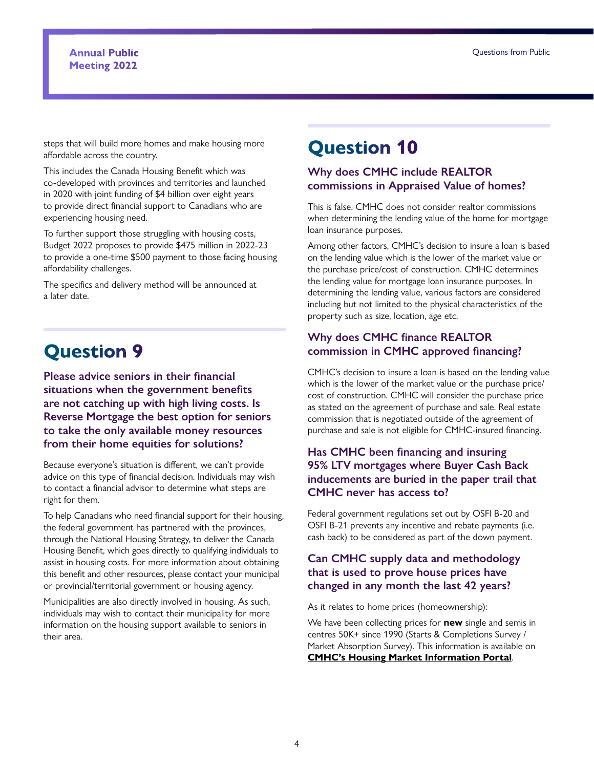#### **Annual Public Meeting 2022**

steps that will build more homes and make housing more affordable across the country.

This includes the Canada Housing Benefit which was co-developed with provinces and territories and launched in 2020 with joint funding of \$4 billion over eight years to provide direct financial support to Canadians who are experiencing housing need.

To further support those struggling with housing costs, Budget 2022 proposes to provide \$475 million in 2022-23 to provide a one-time \$500 payment to those facing housing affordability challenges.

The specifics and delivery method will be announced at a later date.

# **Question 9**

**Please advice seniors in their financial situations when the government benefits are not catching up with high living costs. Is Reverse Mortgage the best option for seniors to take the only available money resources from their home equities for solutions?** 

Because everyone's situation is different, we can't provide advice on this type of financial decision. Individuals may wish to contact a financial advisor to determine what steps are right for them.

To help Canadians who need financial support for their housing, the federal government has partnered with the provinces, through the National Housing Strategy, to deliver the Canada Housing Benefit, which goes directly to qualifying individuals to assist in housing costs. For more information about obtaining this benefit and other resources, please contact your municipal or provincial/territorial government or housing agency.

Municipalities are also directly involved in housing. As such, individuals may wish to contact their municipality for more information on the housing support available to seniors in their area.

# **Question 10**

#### **Why does CMHC include REALTOR commissions in Appraised Value of homes?**

This is false. CMHC does not consider realtor commissions when determining the lending value of the home for mortgage loan insurance purposes.

Among other factors, CMHC's decision to insure a loan is based on the lending value which is the lower of the market value or the purchase price/cost of construction. CMHC determines the lending value for mortgage loan insurance purposes. In determining the lending value, various factors are considered including but not limited to the physical characteristics of the property such as size, location, age etc.

#### **Why does CMHC finance REALTOR commission in CMHC approved financing?**

CMHC's decision to insure a loan is based on the lending value which is the lower of the market value or the purchase price/ cost of construction. CMHC will consider the purchase price as stated on the agreement of purchase and sale. Real estate commission that is negotiated outside of the agreement of purchase and sale is not eligible for CMHC-insured financing.

#### **Has CMHC been financing and insuring 95% LTV mortgages where Buyer Cash Back inducements are buried in the paper trail that CMHC never has access to?**

Federal government regulations set out by OSFI B-20 and OSFI B-21 prevents any incentive and rebate payments (i.e. cash back) to be considered as part of the down payment.

#### **Can CMHC supply data and methodology that is used to prove house prices have changed in any month the last 42 years?**

As it relates to home prices (homeownership):

We have been collecting prices for **new** single and semis in centres 50K+ since 1990 (Starts & Completions Survey / Market Absorption Survey). This information is available on **[CMHC's Housing Market Information Portal](https://www03.cmhc-schl.gc.ca/hmip-pimh/en/Main/SharedContent?tid=L2htaXAtcGltaC9lbi9UYWJsZU1hcENoYXJ0L1RhYmxlP1RhYmxlSWQ9MS4xMC4yJkdlb2dyYXBoeUlkPTEmR2VvZ3JhcGh5VHlwZUlkPTEmQnJlYWtkb3duR2VvZ3JhcGh5VHlwZUlkPTAmRGlzcGxheUFzPVRhYmxlJkdlb2dyYWdoeU5hbWU9Q2FuYWRhJll0ZD1GYWxzZSZEZWZhdWx0RGF0YUZpZWxkPWFic29yYmVkX3VuaXRfcHJpY2VfMjB0aF9wZXJjZW50aWxlX2FtdCZTdXJ2ZXk9U2NzcyZGb3JUaW1lUGVyaW9kLlllYXI9MTk5MCZGb3JUaW1lUGVyaW9kLlF1YXJ0ZXI9MSZGb3JUaW1lUGVyaW9kLk1vbnRoPTEmVG9UaW1lUGVyaW9kLlllYXI9MjAyMiZUb1RpbWVQZXJpb2QuUXVhcnRlcj0xJlRvVGltZVBlcmlvZC5Nb250aD0z)**.